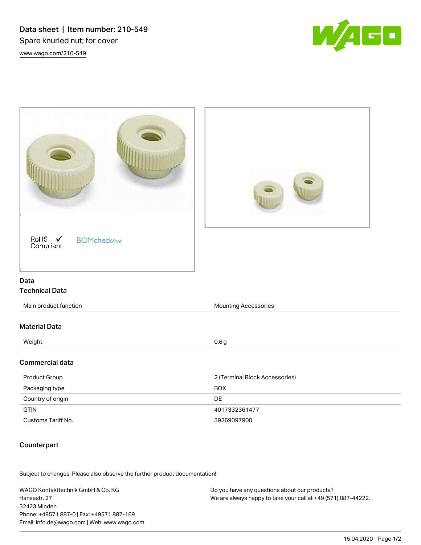Data sheet | Item number: 210-549 Spare knurled nut; for cover [www.wago.com/210-549](http://www.wago.com/210-549)





## **Counterpart**

.<br>Subject to changes. Please also observe the further product documentation!

WAGO Kontakttechnik GmbH & Co. KG Hansastr. 27 32423 Minden Phone: +49571 887-0 | Fax: +49571 887-169 Email: info.de@wago.com | Web: www.wago.com Do you have any questions about our products? We are always happy to take your call at +49 (571) 887-44222.